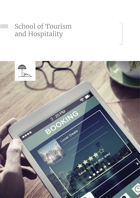# School of Tourism and Hospitality

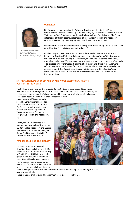

**Dr Diane Abrahams** *Director: School of Tourism and Hospitality*

#### **Overview**

2019 was no ordinary year for the School of Tourism and Hospitality (STH) as it coincided with the 50th anniversary of one of its legacy institutions – the Hotel School TWR – or the "Wits" (Witwatersrand) Hotel School as it was fondly known. The School's celebration of this milestone, celebration of excellence in tourism and hospitality education, was among the many highlights of the 2019 academic year.

Master's student and assistant lecturer won top prize at the Young Talents event at the World Tourism Forum in Lucerne, Switzerland (1).

Academic top achiever, Master of Tourism and Hospitality student and assistant lecturer for Tourism, Ms Refiloe Lekgau, won the prestigious Young Talent Award at the 6th World Tourism Forum (WTFL) Lucerne, Switzerland. Delegates from over 80 countries – including CEOs, ambassadors, investors, academics and young professionals – deliberated on key themes such as innovation, talent and diversity management. Of the 70 applications received for the WTFL Young Talent Programme, Ms Lekgau's research paper titled 'Perceived socioeconomic impacts of wildlife tourism' was shortlisted into the top 12. She was ultimately selected one of three winners of the competition.

# **STH remains number one in Africa and progressed to eighteenth position in the world**

The STH remains a significant contributor to the College of Business and Economics research output, boasting more than 105 research output units in the 2019 academic year. In this year under review, the School continued its drive to grow its international research associates' network – with more than 40 associates from

36 universities affiliated with the STH. The School further hosted an International Research Associates Conference, which attracted top tourism and hospitality scholars. The conference was focused on progressive tourism and hospitality. (2)

Finally, the STH maintained the number one ranking in Africa – in the QS Ranking for Hospitality and Leisure studies – and improved its Shanghai Global Ranking from 34th in 2017, 20th in 2018 and 18th in 2019.

## **FERL talks 4IR and technology**

On 17 October 2019, the Food Evolution Research Laboratory (FERL) collaborated with the National Society of South Africa (NSSA) to host a joint symposium titled, The Evolution of Diets: How will technology impact our eating habits? The symposium was held with a focus on the diet transition over the years and what was likely to



come. Key topics covered included nutrition transition and the impact technology will have on diets, specifically

linked to issues of obesity and non-communicable diseases (NCDs) (3).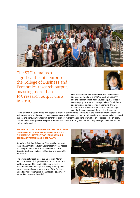

The STH remains a significant contributor to the College of Business and Economics research output, boasting more than 105 research output units in 2019.



FERL Director and STH Senior Lecturer, Dr Hema Kesa (4), was appointed (by UNICEF) to work with UNICEF and the Department of Basic Education (DBE) to assist in developing national nutrition guidelines for all foods and beverages sold or provided in schools. This was to support the prevention and control of overweight and obesity and improved dietary diversity among

school children in South Africa. The objective of this initiative was to contribute to the improvement of all forms of malnutrition of school-going children by creating an enabling environment to address barriers to making healthy food choices and behaviours, which will contribute to improved learning and the overall health of school-going children. The outcome of this process will produce national school nutrition guidelines and a key message document for the various stakeholders.

# **STH marks its 50th anniversary of the former Technikon Witwatersrand Hotel School to the current University of Johannesburg, School of Tourism and Hospitality**

Reminisce. Rethink. Reimagine. This was the theme of the STH Alumni and Industry Stakeholder events hosted on 18 September 2019 in acknowledgment of the School's rich history in terms of tourism and hospitality education.

The events aptly took place during Tourism Month and incorporated dialogue sessions on contemporary matters, such as 4IR, sustainability and inclusive development with participation by key industry roleplayers, academia and alumni; a tour of the facilities, an endowment fundraising challenge; and celebratory networking evening. (5 and 6)